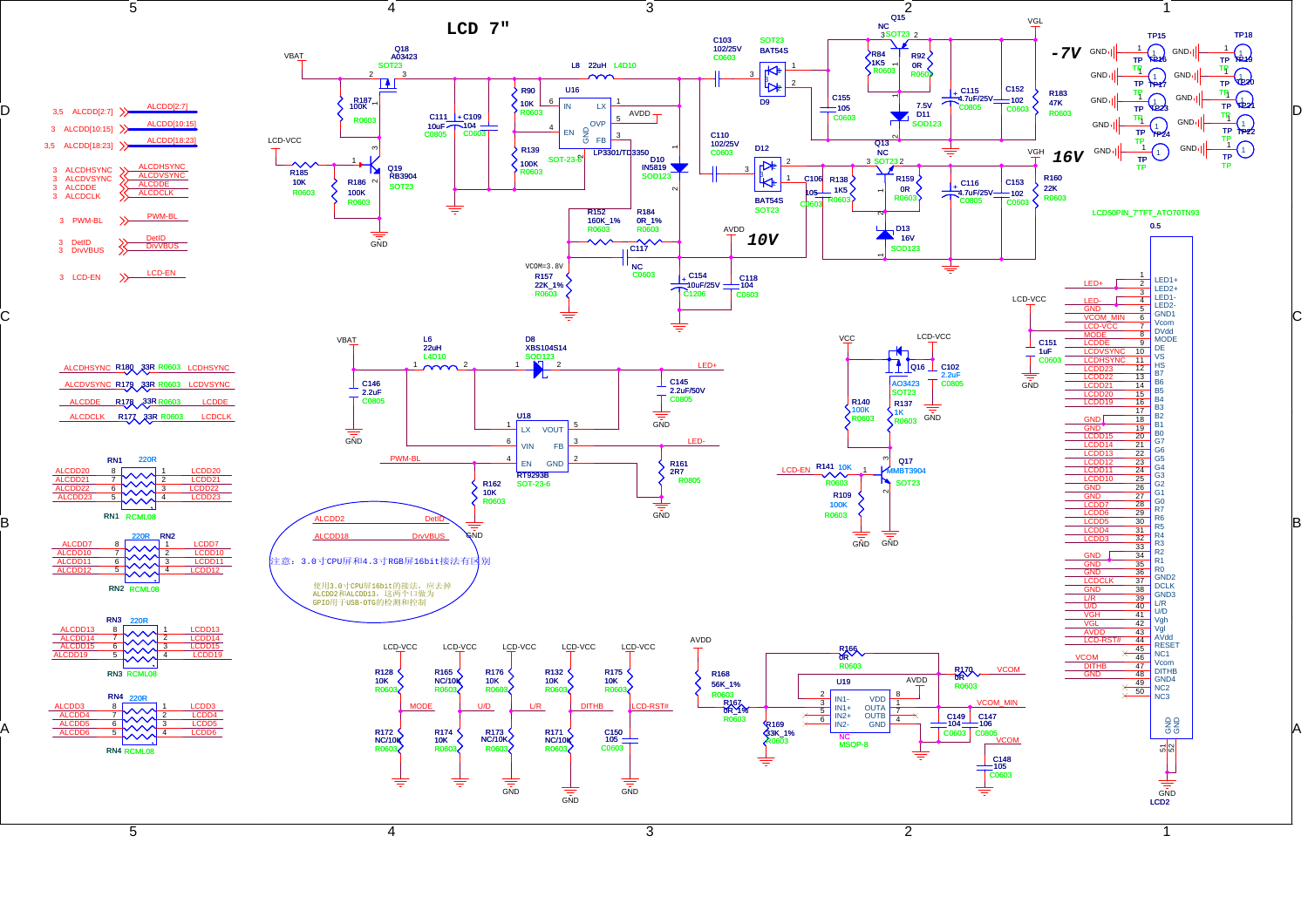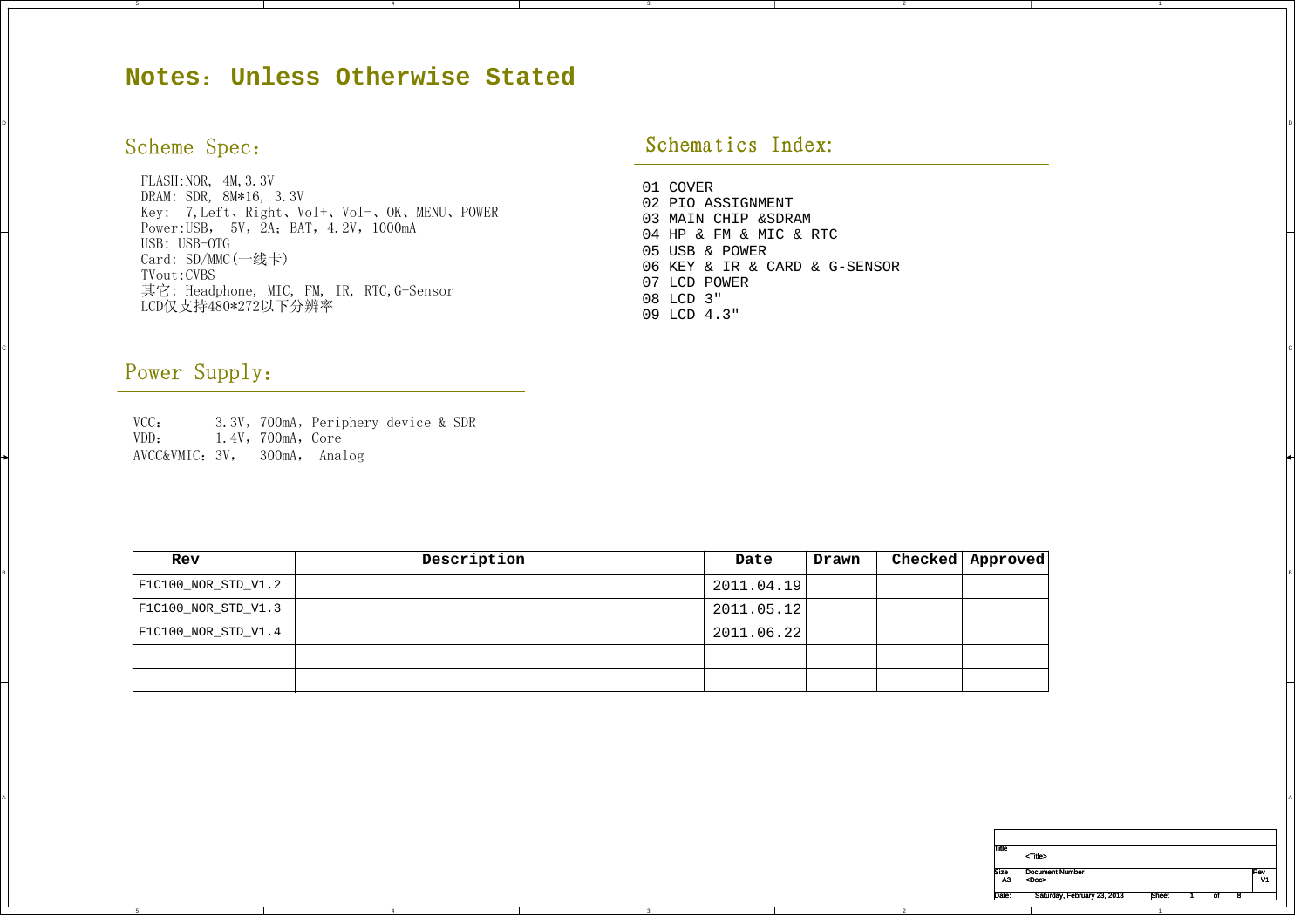## **Notes**:**Unless Otherwise Stated**

## Scheme Spec:

FLASH: NOR, 4M, 3.3V DRAM: SDR, 8M\*16, 3.3V Key: 7,Left、Right、Vol+、Vol-、OK、MENU、POWER Power: USB, 5V, 2A; BAT, 4.2V, 1000mA USB: USB-OTG Card: SD/MMC(一线卡) LCD仅支持480\*272以下分辨率 TVout:CVBS其它: Headphone, MIC, FM, IR, RTC,G-Sensor

## Schematics Index:

DI<br>Di

CIL AND A REPORT OF THE CONTRACTOR OF THE CONTRACTOR OF THE CONTRACTOR OF THE CONTRACTOR OF THE CONTRACTOR OF THE CONTRACTOR OF THE CONTRACTOR OF THE CONTRACTOR OF THE CONTRACTOR OF THE CONTRACTOR OF THE CONTRACTOR OF THE

A

01 COVER 02 PIO ASSIGNMENT03 MAIN CHIP &SDRAM04 HP & FM & MIC & RTC 05 USB & POWER06 KEY & IR & CARD & G-SENSOR07 LCD POWER 08 LCD 3" 09 LCD 4.3"

2

2

## Power Supply:

C

A

5

VCC: 3.3V, 700mA, Periphery device & SDR<br>VDD: 1.4V, 700mA, Core VDD: 1.4V,700mA,Core AVCC&VMIC:3V, 300mA, Analog

4

|  | Rev                         | Description | Date       | Drawn | Checked   Approved |
|--|-----------------------------|-------------|------------|-------|--------------------|
|  | $ $ F1C100_NOR_STD_V1.2 $ $ |             | 2011.04.19 |       |                    |
|  | F1C100_NOR_STD_V1.3         |             | 2011.05.12 |       |                    |
|  | F1C100_NOR_STD_V1.4         |             | 2011.06.22 |       |                    |
|  |                             |             |            |       |                    |
|  |                             |             |            |       |                    |

| Title             | <title></title>                       |              |  |           |
|-------------------|---------------------------------------|--------------|--|-----------|
| <b>Size</b><br>A3 | <b>Document Number</b><br><doc></doc> |              |  | Rev<br>V1 |
| Date:             | Saturday, February 23, 2013           | <b>Sheet</b> |  |           |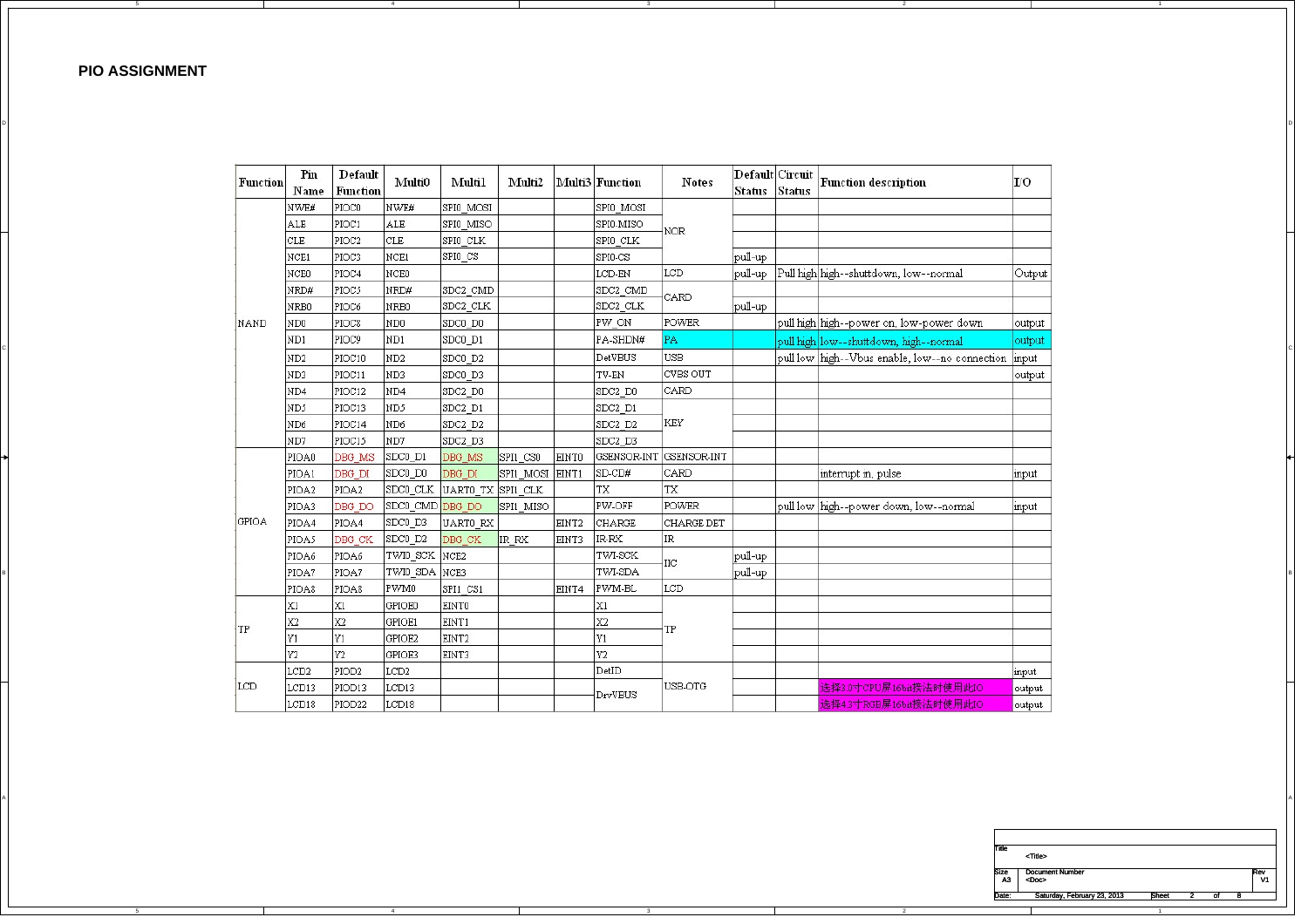**PIO ASSIGNMENT**

A

5

4

|    | Function    | Pin              | Default            | Multi0            | Multil                     | Multi2          |                   | Multi3 Function | <b>Notes</b>            |                   | Default Circuit | Function description                                 | IО      |
|----|-------------|------------------|--------------------|-------------------|----------------------------|-----------------|-------------------|-----------------|-------------------------|-------------------|-----------------|------------------------------------------------------|---------|
|    |             | Name             | Function           |                   |                            |                 |                   |                 |                         | Status Status     |                 |                                                      |         |
|    |             | NWE#             | PIOCO              | NWE#              | SPIO MOSI                  |                 |                   | SPIO MOSI       |                         |                   |                 |                                                      |         |
|    |             | ALE              | PIOC1              | ALE               | SPIO MISO                  |                 |                   | SPI0-MISO       | NOR                     |                   |                 |                                                      |         |
|    |             | CLE              | PIOC2              | CLE               | SPIO CLK                   |                 |                   | SPIO CLK        |                         |                   |                 |                                                      |         |
|    |             | NCE1             | PIOC3              | NCE1              | SPIO CS                    |                 |                   | SPIO-CS         |                         | pull-up           |                 |                                                      |         |
|    |             | NCE0             | PIOC4              | NCE <sub>0</sub>  |                            |                 |                   | LCD-EN          | LCD                     |                   |                 | pull-up Pull high high--shuttdown, low--normal       | Output  |
|    |             | NRD#             | PIOC5              | NRD#              | SDC2 CMD                   |                 |                   | SDC2 CMD        | CARD                    |                   |                 |                                                      |         |
|    |             | NRB0             | PIOC6              | NRB0              | SDC2_CLK                   |                 |                   | SDC2 CLK        |                         | $ {\rm pull-up} $ |                 |                                                      |         |
|    | <b>NAND</b> | ND <sub>0</sub>  | PIOC <sub>8</sub>  | ND0               | SDC0 D0                    |                 |                   | PW ON           | POWER                   |                   |                 | pull high high--power on, low-power down             | output  |
|    |             | ND1              | PIOC9              | ND1               | SDC0_D1                    |                 |                   | PA-SHDN#        | PA                      |                   |                 | pull high low--shuttdown, high--normal               | output  |
|    |             | ND <sub>2</sub>  | PIOC10             | ND <sub>2</sub>   | SDC0 D2                    |                 |                   | DetVBUS         | <b>USB</b>              |                   |                 | pull low high--Vbus enable, low--no connection input |         |
|    |             | ND3              | PIOC11             | ND3               | SDC0 D3                    |                 |                   | TV-EN           | CVBS OUT                |                   |                 |                                                      | output  |
|    |             | ND4              | PIOC12             | ND4               | SDC2 D0                    |                 |                   | SDC2 D0         | CARD                    |                   |                 |                                                      |         |
|    |             | ND5              | PIOC13             | ND5               | SDC2 D1                    |                 |                   | SDC2 D1         |                         |                   |                 |                                                      |         |
|    |             | ND <sub>6</sub>  | PIOC14             | ND <sub>6</sub>   | SDC2 D2                    |                 |                   | SDC2 D2         | KEY                     |                   |                 |                                                      |         |
|    |             | ND7              | PIOC15             | ND7               | SDC2 D3                    |                 |                   | SDC2 D3         |                         |                   |                 |                                                      |         |
|    |             | PIOA0            | DBG MS             | SDC0 D1           | DBG MS                     | SPI1 CSO        | EINTO             |                 | GSENSOR-INT GSENSOR-INT |                   |                 |                                                      |         |
|    |             | PIOA1            | DBG_DI             | SDCO_DO           | DBG DI                     | SPI1_MOSI EINT1 |                   | SD-CD#          | CARD                    |                   |                 | interrupt in, pulse                                  | input   |
|    |             | PIOA2            | PIOA2              |                   | SDCO_CLK UARTO TX SPI1 CLK |                 |                   | TX              | TX                      |                   |                 |                                                      |         |
|    |             | PIOA3            | DBG DO             | SDC0_CMD DBG_DO   |                            | SPI1 MISO       |                   | PW-OFF          | POWER                   |                   |                 | pull low high--power down, low--normal               | input   |
|    | GPIOA       | PIOA4            | PIOA4              | SDC0_D3           | UARTO RX                   |                 | EINT <sub>2</sub> | CHARGE          | <b>CHARGE DET</b>       |                   |                 |                                                      |         |
|    |             | PIOA5            | DBG_CK             | $ $ SDC0_D2       | DBG_CK                     | IR RX           | EINT3             | IR-RX           | IR                      |                   |                 |                                                      |         |
|    |             | PIOA6            | PIOA6              | TWI0_SCK NCE2     |                            |                 |                   | TWI-SCK         | IIС                     | pull-up           |                 |                                                      |         |
|    |             | PIOA7            | PIOA7              | TWI0 SDA NCE3     |                            |                 |                   | TWI-SDA         |                         | pull-up           |                 |                                                      |         |
|    |             | PIOA8            | PIOA8              | PWM0              | SPI1 CS1                   |                 | EINT4             | PWM-BL          | LCD.                    |                   |                 |                                                      |         |
|    |             | IX1              | X1                 | GPIOE0            | EINT0                      |                 |                   | X1              |                         |                   |                 |                                                      |         |
| TP |             | X2               | X2                 | GPIOE1            | EINT1                      |                 |                   | X2              | TP                      |                   |                 |                                                      |         |
|    |             | Y1               | Y1                 | GPIOE2            | EINT <sub>2</sub>          |                 |                   | Y1              |                         |                   |                 |                                                      |         |
|    |             | Y2               | Y2                 | GPIOE3            | EINT3                      |                 |                   | Y2              |                         |                   |                 |                                                      |         |
|    |             | LCD <sub>2</sub> | PIOD <sub>2</sub>  | LCD <sub>2</sub>  |                            |                 |                   | DetID           |                         |                   |                 |                                                      | input   |
|    | LCD         | LCD13            | PIOD <sub>13</sub> | LCD <sub>13</sub> |                            |                 |                   | DrvVBUS         | USB-OTG                 |                   |                 | 选择3.0寸CPU屏16bit接法时使用此IO                              | output  |
|    |             | LCD18            | PIOD <sub>22</sub> | ICD18             |                            |                 |                   |                 |                         |                   |                 | 选择43寸RGB屏16bit接法时使用此IO。                              | outnut. |

A

DI<br>Di

2

2

| Title       |                        |  |  |     |
|-------------|------------------------|--|--|-----|
|             | <title></title>        |  |  |     |
| <b>Size</b> | <b>Document Number</b> |  |  | Rev |
| A3          | <doc></doc>            |  |  | V1  |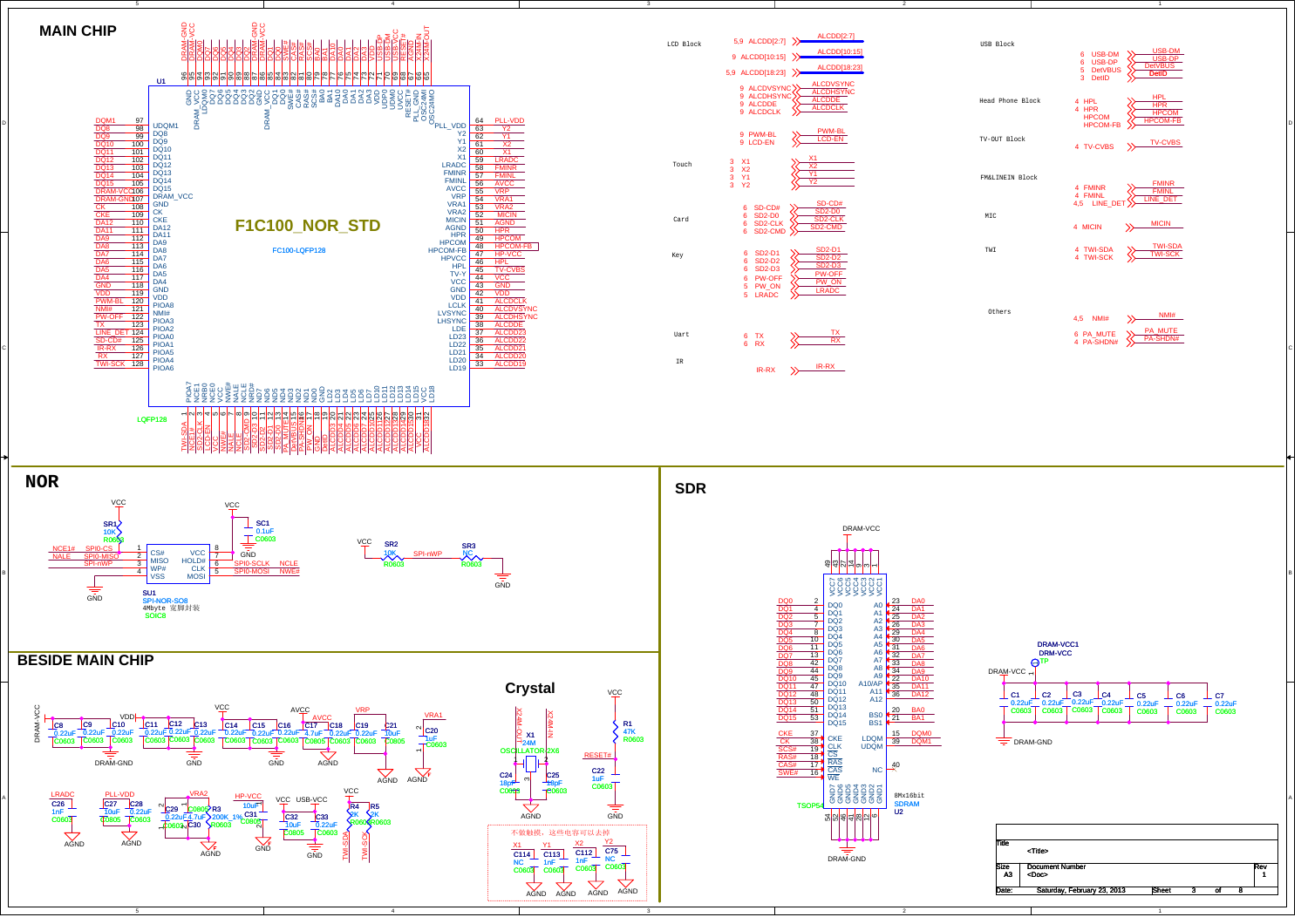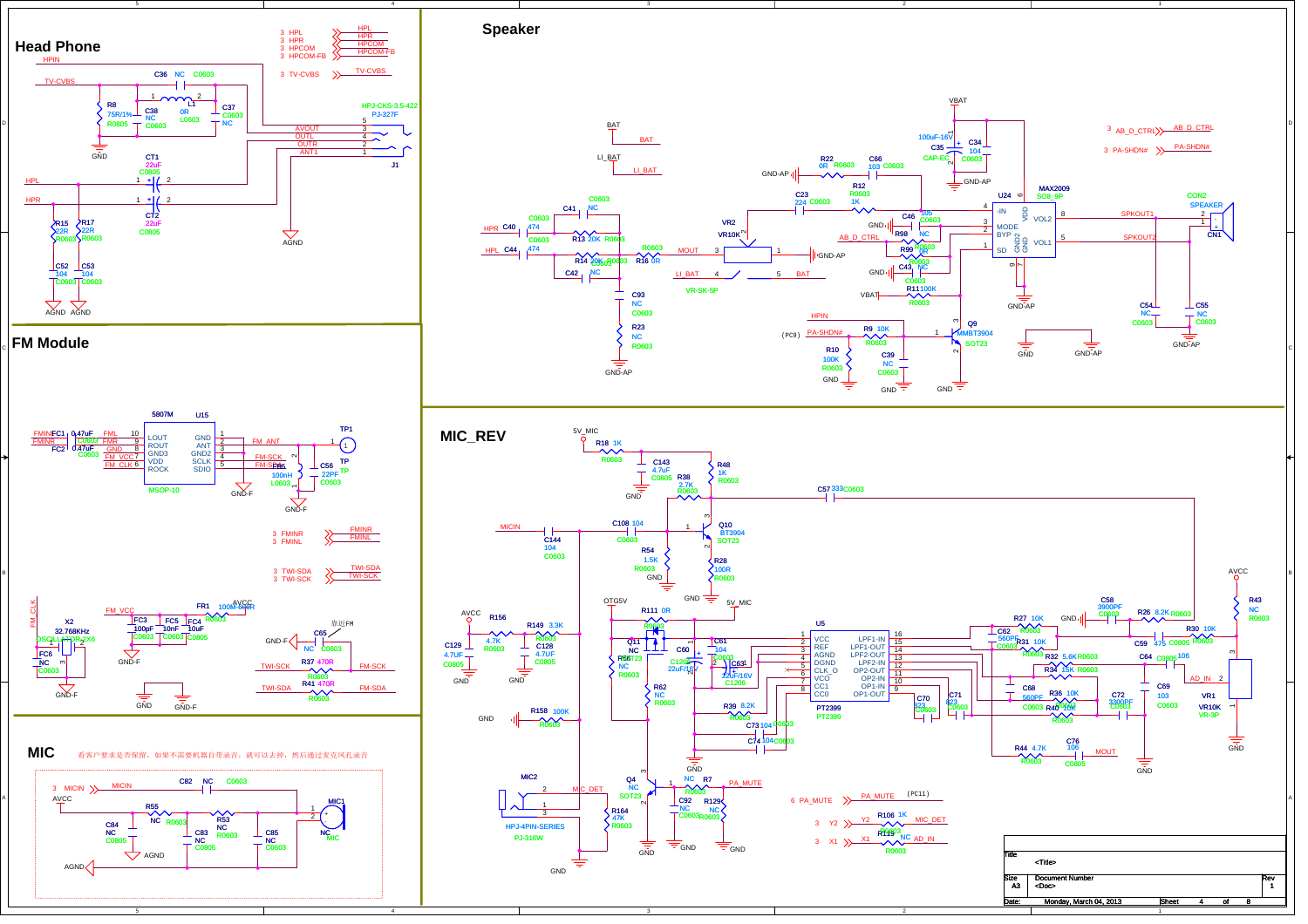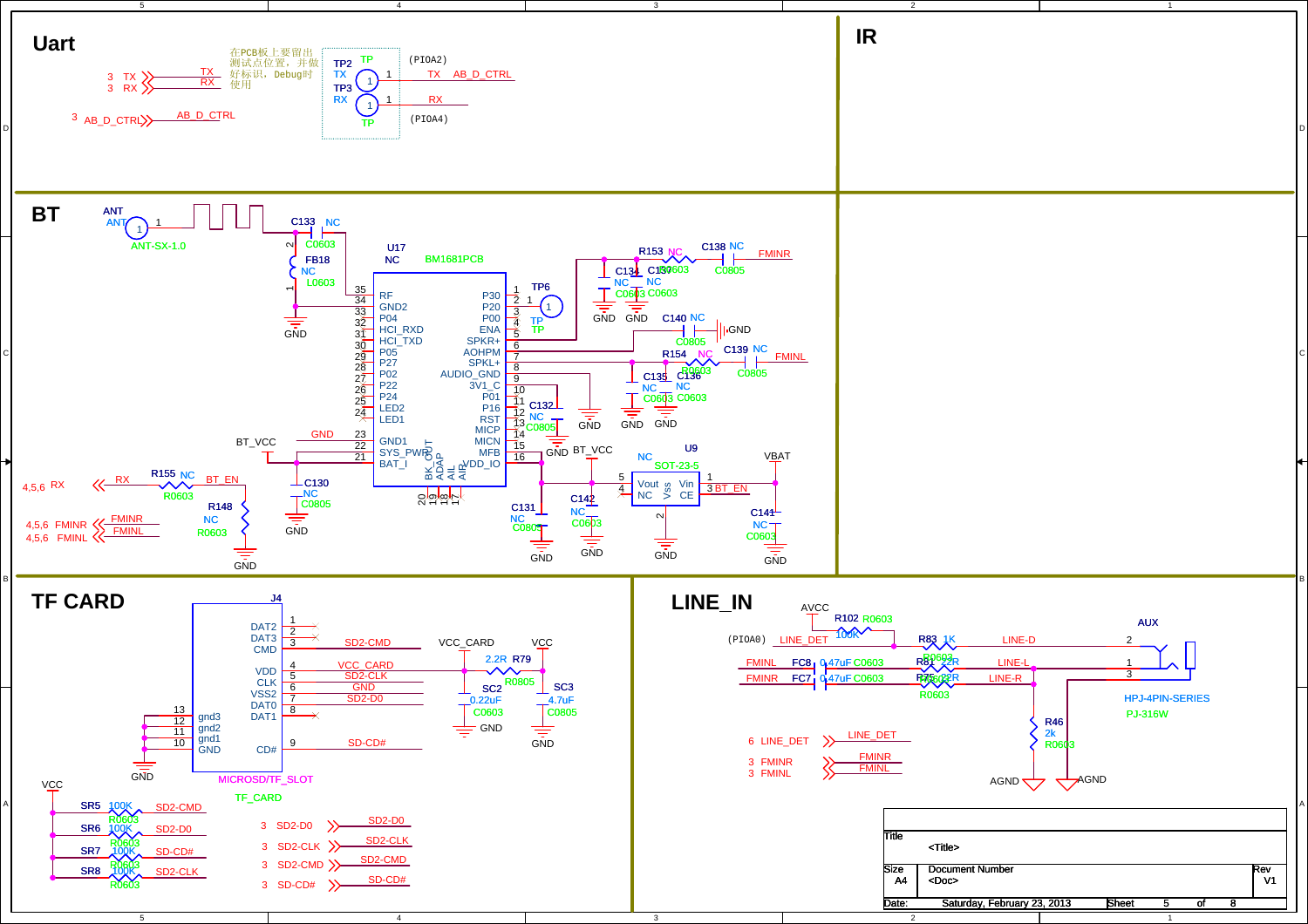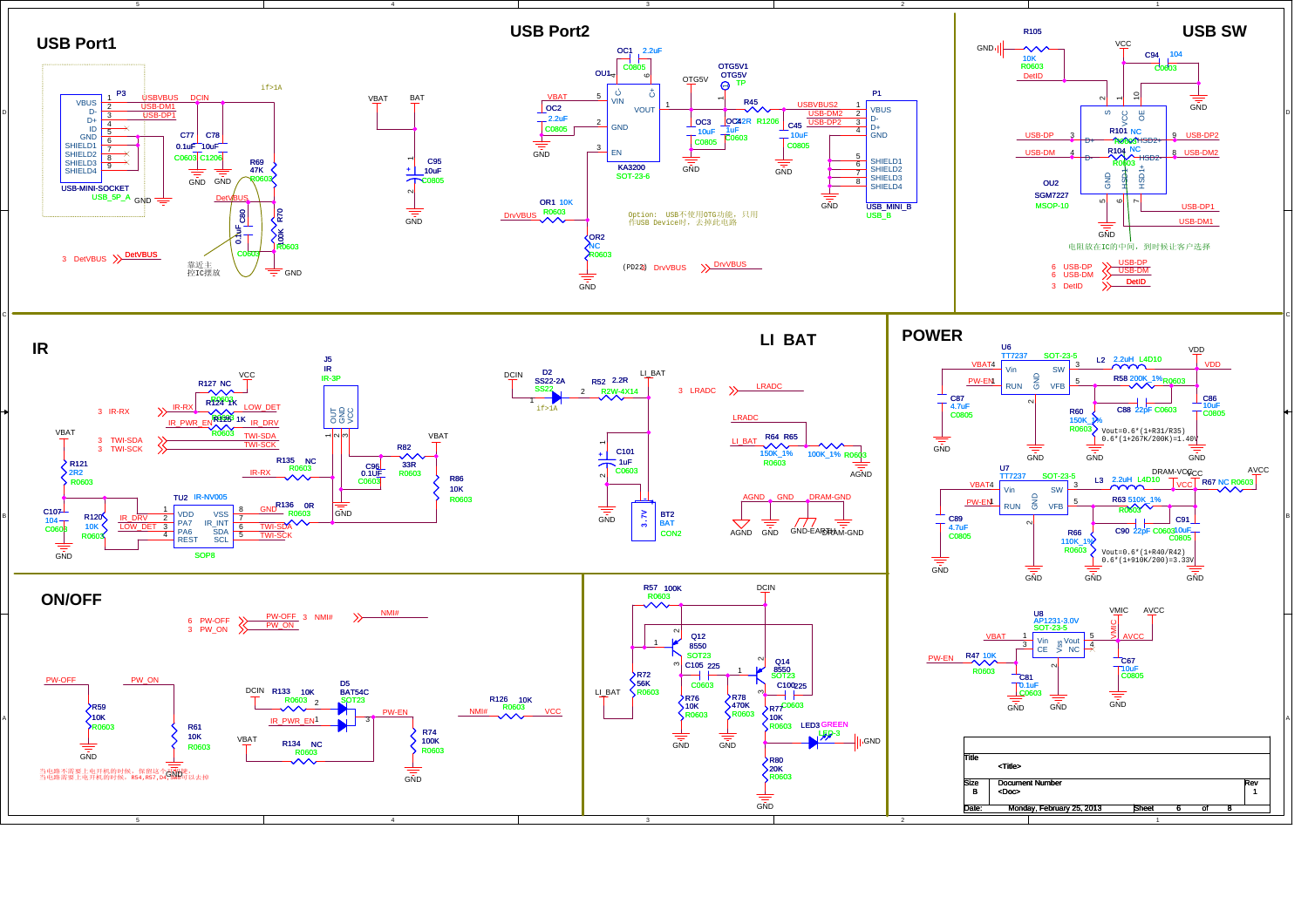